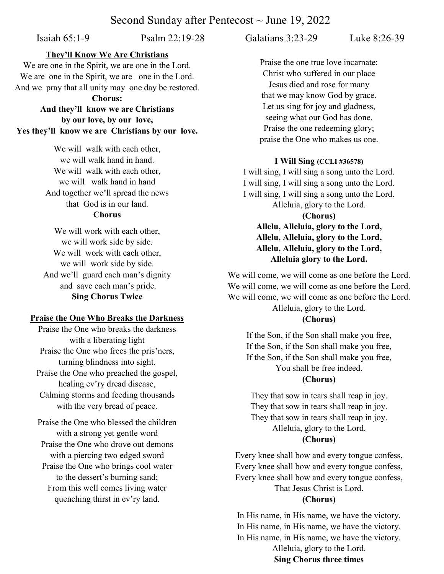# Second Sunday after Pentecost  $\sim$  June 19, 2022

Isaiah 65:1-9 Psalm 22:19-28 Galatians 3:23-29 Luke 8:26-39

### **They'll Know We Are Christians**

We are one in the Spirit, we are one in the Lord. We are one in the Spirit, we are one in the Lord. And we pray that all unity may one day be restored.

**Chorus:** 

**And they'll know we are Christians by our love, by our love, Yes they'll know we are Christians by our love.**

> We will walk with each other, we will walk hand in hand. We will walk with each other, we will walk hand in hand And together we'll spread the news that God is in our land. **Chorus**

We will work with each other, we will work side by side. We will work with each other, we will work side by side. And we'll guard each man's dignity and save each man's pride. **Sing Chorus Twice**

#### **Praise the One Who Breaks the Darkness**

Praise the One who breaks the darkness with a liberating light Praise the One who frees the pris'ners, turning blindness into sight. Praise the One who preached the gospel, healing ev'ry dread disease, Calming storms and feeding thousands with the very bread of peace.

Praise the One who blessed the children with a strong yet gentle word Praise the One who drove out demons with a piercing two edged sword Praise the One who brings cool water to the dessert's burning sand; From this well comes living water

quenching thirst in ev'ry land.

Praise the one true love incarnate: Christ who suffered in our place Jesus died and rose for many that we may know God by grace. Let us sing for joy and gladness, seeing what our God has done. Praise the one redeeming glory; praise the One who makes us one.

### **I Will Sing (CCLI #36578)**

I will sing, I will sing a song unto the Lord. I will sing, I will sing a song unto the Lord. I will sing, I will sing a song unto the Lord. Alleluia, glory to the Lord. **(Chorus) Allelu, Alleluia, glory to the Lord, Allelu, Alleluia, glory to the Lord, Allelu, Alleluia, glory to the Lord, Alleluia glory to the Lord.**

We will come, we will come as one before the Lord. We will come, we will come as one before the Lord. We will come, we will come as one before the Lord. Alleluia, glory to the Lord.

# **(Chorus)**

If the Son, if the Son shall make you free, If the Son, if the Son shall make you free, If the Son, if the Son shall make you free, You shall be free indeed.

## **(Chorus)**

They that sow in tears shall reap in joy. They that sow in tears shall reap in joy. They that sow in tears shall reap in joy. Alleluia, glory to the Lord. **(Chorus)**

Every knee shall bow and every tongue confess, Every knee shall bow and every tongue confess, Every knee shall bow and every tongue confess, That Jesus Christ is Lord.

#### **(Chorus)**

In His name, in His name, we have the victory. In His name, in His name, we have the victory. In His name, in His name, we have the victory. Alleluia, glory to the Lord. **Sing Chorus three times**